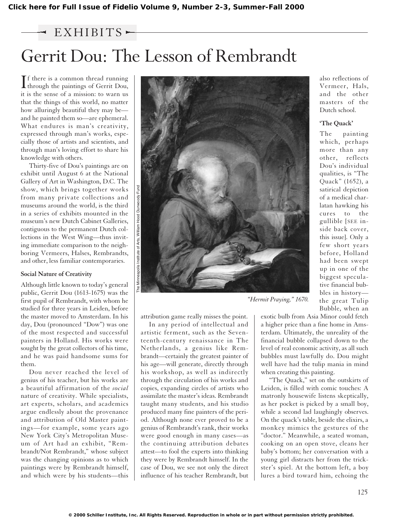## Gerrit Dou: The Lesson of Rembrandt  $-$  EXHIBITS

If there is a common thread running<br>through the paintings of Gerrit Dou,  $\mathbf{I}$  f there is a common thread running it is the sense of a mission: to warn us that the things of this world, no matter how alluringly beautiful they may be and he painted them so—are ephemeral. What endures is man's creativity, expressed through man's works, especially those of artists and scientists, and through man's loving effort to share his knowledge with others.

Thirty-five of Dou's paintings are on exhibit until August 6 at the National Gallery of Art in Washington, D.C. The show, which brings together works from many private collections and museums around the world, is the third in a series of exhibits mounted in the museum's new Dutch Cabinet Galleries, contiguous to the permanent Dutch collections in the West Wing—thus inviting immediate comparison to the neighboring Vermeers, Halses, Rembrandts, and other, less familiar contemporaries.

## **Social Nature of Creativity**

Although little known to today's general public, Gerrit Dou (1613-1675) was the first pupil of Rembrandt, with whom he studied for three years in Leiden, before the master moved to Amsterdam. In his day, Dou (pronounced "Dow") was one of the most respected and successful painters in Holland. His works were sought by the great collectors of his time, and he was paid handsome sums for them.

Dou never reached the level of genius of his teacher, but his works are a beautiful affirmation of the *social* nature of creativity. While specialists, art experts, scholars, and academics argue endlessly about the provenance and attribution of Old Master paintings—for example, some years ago New York City's Metropolitan Museum of Art had an exhibit, "Rembrandt/Not Rembrandt," whose subject was the changing opinions as to which paintings were by Rembrandt himself, and which were by his students—this



attribution game really misses the point.

In any period of intellectual and artistic ferment, such as the Seventeenth-century renaissance in The Netherlands, a genius like Rembrandt—certainly the greatest painter of his age—will generate, directly through his workshop, as well as indirectly through the circulation of his works and copies, expanding circles of artists who assimilate the master's ideas. Rembrandt taught many students, and his studio produced many fine painters of the period. Although none ever proved to be a genius of Rembrandt's rank, their works were good enough in many cases—as the continuing attribution debates attest—to fool the experts into thinking they were by Rembrandt himself. In the case of Dou, we see not only the direct influence of his teacher Rembrandt, but also reflections of Vermeer, Hals, and the other masters of the Dutch school.

## **'The Quack'**

The painting which, perhaps more than any other, reflects Dou's individual qualities, is "The Quack" (1652), a satirical depiction of a medical charlatan hawking his cures to the gullible [SEE inside back cover, this issue]. Only a few short years before, Holland had been swept up in one of the biggest speculative financial bubbles in history the great Tulip Bubble, when an

exotic bulb from Asia Minor could fetch a higher price than a fine home in Amsterdam. Ultimately, the unreality of the financial bubble collapsed down to the level of real economic activity, as all such bubbles must lawfully do. Dou might well have had the tulip mania in mind when creating this painting.

"The Quack," set on the outskirts of Leiden, is filled with comic touches: A matronly housewife listens skeptically, as her pocket is picked by a small boy, while a second lad laughingly observes. On the quack's table, beside the elixirs, a monkey mimics the gestures of the "doctor." Meanwhile, a seated woman, cooking on an open stove, cleans her baby's bottom; her conversation with a young girl distracts her from the trickster's spiel. At the bottom left, a boy lures a bird toward him, echoing the